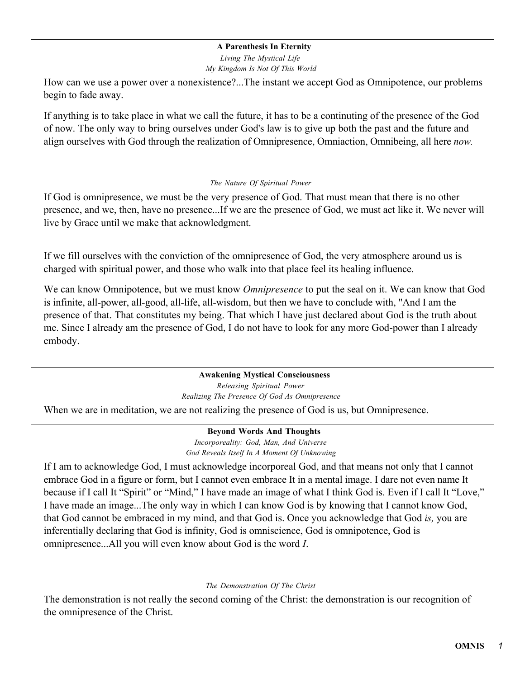#### **A Parenthesis In Eternity**

*Living The Mystical Life My Kingdom Is Not Of This World*

How can we use a power over a nonexistence?...The instant we accept God as Omnipotence, our problems begin to fade away.

If anything is to take place in what we call the future, it has to be a continuting of the presence of the God of now. The only way to bring ourselves under God's law is to give up both the past and the future and align ourselves with God through the realization of Omnipresence, Omniaction, Omnibeing, all here *now.*

#### *The Nature Of Spiritual Power*

If God is omnipresence, we must be the very presence of God. That must mean that there is no other presence, and we, then, have no presence...If we are the presence of God, we must act like it. We never will live by Grace until we make that acknowledgment.

If we fill ourselves with the conviction of the omnipresence of God, the very atmosphere around us is charged with spiritual power, and those who walk into that place feel its healing influence.

We can know Omnipotence, but we must know *Omnipresence* to put the seal on it. We can know that God is infinite, all-power, all-good, all-life, all-wisdom, but then we have to conclude with, "And I am the presence of that. That constitutes my being. That which I have just declared about God is the truth about me. Since I already am the presence of God, I do not have to look for any more God-power than I already embody.

#### **Awakening Mystical Consciousness** *Releasing Spiritual Power Realizing The Presence Of God As Omnipresence*

When we are in meditation, we are not realizing the presence of God is us, but Omnipresence.

#### **Beyond Words And Thoughts**

*Incorporeality: God, Man, And Universe God Reveals Itself In A Moment Of Unknowing*

If I am to acknowledge God, I must acknowledge incorporeal God, and that means not only that I cannot embrace God in a figure or form, but I cannot even embrace It in a mental image. I dare not even name It because if I call It "Spirit" or "Mind," I have made an image of what I think God is. Even if I call It "Love," I have made an image...The only way in which I can know God is by knowing that I cannot know God, that God cannot be embraced in my mind, and that God is. Once you acknowledge that God *is,* you are inferentially declaring that God is infinity, God is omniscience, God is omnipotence, God is omnipresence...All you will even know about God is the word *I*.

#### *The Demonstration Of The Christ*

The demonstration is not really the second coming of the Christ: the demonstration is our recognition of the omnipresence of the Christ.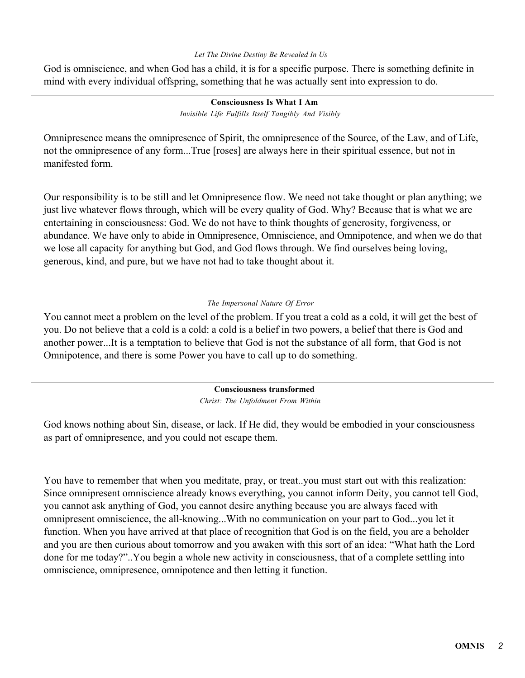#### *Let The Divine Destiny Be Revealed In Us*

God is omniscience, and when God has a child, it is for a specific purpose. There is something definite in mind with every individual offspring, something that he was actually sent into expression to do.

#### **Consciousness Is What I Am** *Invisible Life Fulfills Itself Tangibly And Visibly*

Omnipresence means the omnipresence of Spirit, the omnipresence of the Source, of the Law, and of Life, not the omnipresence of any form...True [roses] are always here in their spiritual essence, but not in manifested form.

Our responsibility is to be still and let Omnipresence flow. We need not take thought or plan anything; we just live whatever flows through, which will be every quality of God. Why? Because that is what we are entertaining in consciousness: God. We do not have to think thoughts of generosity, forgiveness, or abundance. We have only to abide in Omnipresence, Omniscience, and Omnipotence, and when we do that we lose all capacity for anything but God, and God flows through. We find ourselves being loving, generous, kind, and pure, but we have not had to take thought about it.

#### *The Impersonal Nature Of Error*

You cannot meet a problem on the level of the problem. If you treat a cold as a cold, it will get the best of you. Do not believe that a cold is a cold: a cold is a belief in two powers, a belief that there is God and another power...It is a temptation to believe that God is not the substance of all form, that God is not Omnipotence, and there is some Power you have to call up to do something.

> **Consciousness transformed** *Christ: The Unfoldment From Within*

God knows nothing about Sin, disease, or lack. If He did, they would be embodied in your consciousness as part of omnipresence, and you could not escape them.

You have to remember that when you meditate, pray, or treat..you must start out with this realization: Since omnipresent omniscience already knows everything, you cannot inform Deity, you cannot tell God, you cannot ask anything of God, you cannot desire anything because you are always faced with omnipresent omniscience, the all-knowing...With no communication on your part to God...you let it function. When you have arrived at that place of recognition that God is on the field, you are a beholder and you are then curious about tomorrow and you awaken with this sort of an idea: "What hath the Lord done for me today?"..You begin a whole new activity in consciousness, that of a complete settling into omniscience, omnipresence, omnipotence and then letting it function.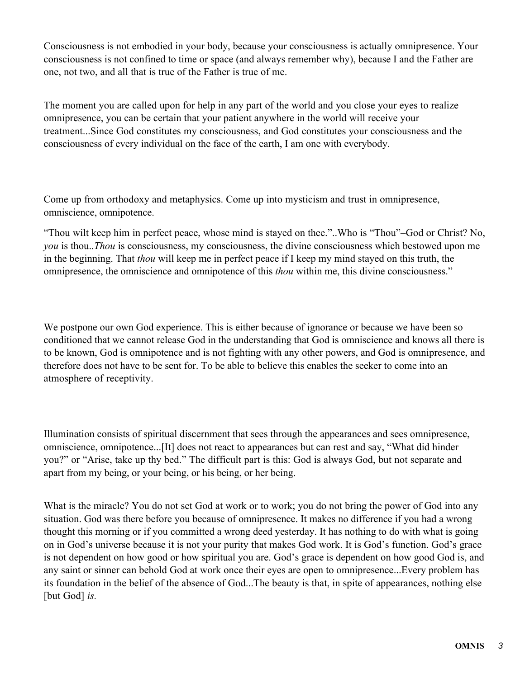Consciousness is not embodied in your body, because your consciousness is actually omnipresence. Your consciousness is not confined to time or space (and always remember why), because I and the Father are one, not two, and all that is true of the Father is true of me.

The moment you are called upon for help in any part of the world and you close your eyes to realize omnipresence, you can be certain that your patient anywhere in the world will receive your treatment...Since God constitutes my consciousness, and God constitutes your consciousness and the consciousness of every individual on the face of the earth, I am one with everybody.

Come up from orthodoxy and metaphysics. Come up into mysticism and trust in omnipresence, omniscience, omnipotence.

"Thou wilt keep him in perfect peace, whose mind is stayed on thee."..Who is "Thou"–God or Christ? No, *you* is thou..*Thou* is consciousness, my consciousness, the divine consciousness which bestowed upon me in the beginning. That *thou* will keep me in perfect peace if I keep my mind stayed on this truth, the omnipresence, the omniscience and omnipotence of this *thou* within me, this divine consciousness."

We postpone our own God experience. This is either because of ignorance or because we have been so conditioned that we cannot release God in the understanding that God is omniscience and knows all there is to be known, God is omnipotence and is not fighting with any other powers, and God is omnipresence, and therefore does not have to be sent for. To be able to believe this enables the seeker to come into an atmosphere of receptivity.

Illumination consists of spiritual discernment that sees through the appearances and sees omnipresence, omniscience, omnipotence...[It] does not react to appearances but can rest and say, "What did hinder you?" or "Arise, take up thy bed." The difficult part is this: God is always God, but not separate and apart from my being, or your being, or his being, or her being.

What is the miracle? You do not set God at work or to work; you do not bring the power of God into any situation. God was there before you because of omnipresence. It makes no difference if you had a wrong thought this morning or if you committed a wrong deed yesterday. It has nothing to do with what is going on in God's universe because it is not your purity that makes God work. It is God's function. God's grace is not dependent on how good or how spiritual you are. God's grace is dependent on how good God is, and any saint or sinner can behold God at work once their eyes are open to omnipresence...Every problem has its foundation in the belief of the absence of God...The beauty is that, in spite of appearances, nothing else [but God] *is.*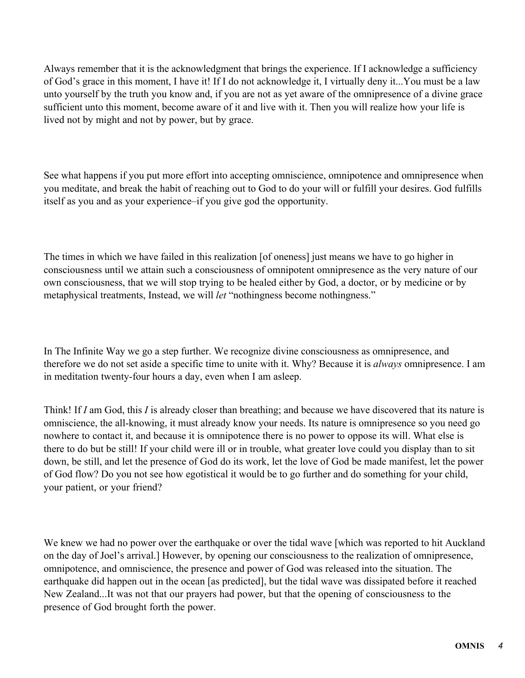Always remember that it is the acknowledgment that brings the experience. If I acknowledge a sufficiency of God's grace in this moment, I have it! If I do not acknowledge it, I virtually deny it...You must be a law unto yourself by the truth you know and, if you are not as yet aware of the omnipresence of a divine grace sufficient unto this moment, become aware of it and live with it. Then you will realize how your life is lived not by might and not by power, but by grace.

See what happens if you put more effort into accepting omniscience, omnipotence and omnipresence when you meditate, and break the habit of reaching out to God to do your will or fulfill your desires. God fulfills itself as you and as your experience–if you give god the opportunity.

The times in which we have failed in this realization [of oneness] just means we have to go higher in consciousness until we attain such a consciousness of omnipotent omnipresence as the very nature of our own consciousness, that we will stop trying to be healed either by God, a doctor, or by medicine or by metaphysical treatments, Instead, we will *let* "nothingness become nothingness."

In The Infinite Way we go a step further. We recognize divine consciousness as omnipresence, and therefore we do not set aside a specific time to unite with it. Why? Because it is *always* omnipresence. I am in meditation twenty-four hours a day, even when I am asleep.

Think! If *I* am God, this *I* is already closer than breathing; and because we have discovered that its nature is omniscience, the all-knowing, it must already know your needs. Its nature is omnipresence so you need go nowhere to contact it, and because it is omnipotence there is no power to oppose its will. What else is there to do but be still! If your child were ill or in trouble, what greater love could you display than to sit down, be still, and let the presence of God do its work, let the love of God be made manifest, let the power of God flow? Do you not see how egotistical it would be to go further and do something for your child, your patient, or your friend?

We knew we had no power over the earthquake or over the tidal wave [which was reported to hit Auckland on the day of Joel's arrival.] However, by opening our consciousness to the realization of omnipresence, omnipotence, and omniscience, the presence and power of God was released into the situation. The earthquake did happen out in the ocean [as predicted], but the tidal wave was dissipated before it reached New Zealand...It was not that our prayers had power, but that the opening of consciousness to the presence of God brought forth the power.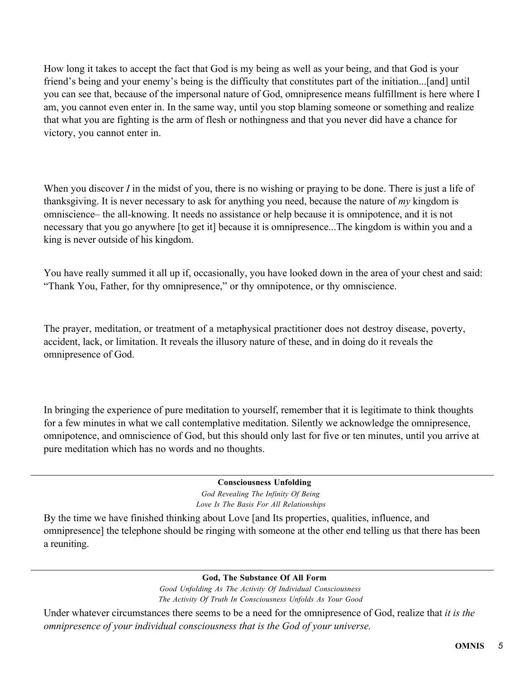How long it takes to accept the fact that God is my being as well as your being, and that God is your friend's being and your enemy's being is the difficulty that constitutes part of the initiation...[and] until you can see that, because of the impersonal nature of God, omnipresence means fulfillment is here where I am, you cannot even enter in. In the same way, until you stop blaming someone or something and realize that what you are fighting is the arm of flesh or nothingness and that you never did have a chance for victory, you cannot enter in.

When you discover *I* in the midst of you, there is no wishing or praying to be done. There is just a life of thanksgiving. It is never necessary to ask for anything you need, because the nature of *my* kingdom is omniscience– the all-knowing. It needs no assistance or help because it is omnipotence, and it is not necessary that you go anywhere [to get it] because it is omnipresence...The kingdom is within you and a king is never outside of his kingdom.

You have really summed it all up if, occasionally, you have looked down in the area of your chest and said: "Thank You, Father, for thy omnipresence," or thy omnipotence, or thy omniscience.

The prayer, meditation, or treatment of a metaphysical practitioner does not destroy disease, poverty, accident, lack, or limitation. It reveals the illusory nature of these, and in doing do it reveals the omnipresence of God.

In bringing the experience of pure meditation to yourself, remember that it is legitimate to think thoughts for a few minutes in what we call contemplative meditation. Silently we acknowledge the omnipresence, omnipotence, and omniscience of God, but this should only last for five or ten minutes, until you arrive at pure meditation which has no words and no thoughts.

# **Consciousness Unfolding**

*God Revealing The Infinity Of Being Love Is The Basis For All Relationships*

By the time we have finished thinking about Love [and Its properties, qualities, influence, and omnipresence] the telephone should be ringing with someone at the other end telling us that there has been a reuniting.

#### **God, The Substance Of All Form**

*Good Unfolding As The Activity Of Individual Consciousness The Activity Of Truth In Consciousness Unfolds As Your Good*

Under whatever circumstances there seems to be a need for the omnipresence of God, realize that *it is the omnipresence of your individual consciousness that is the God of your universe.*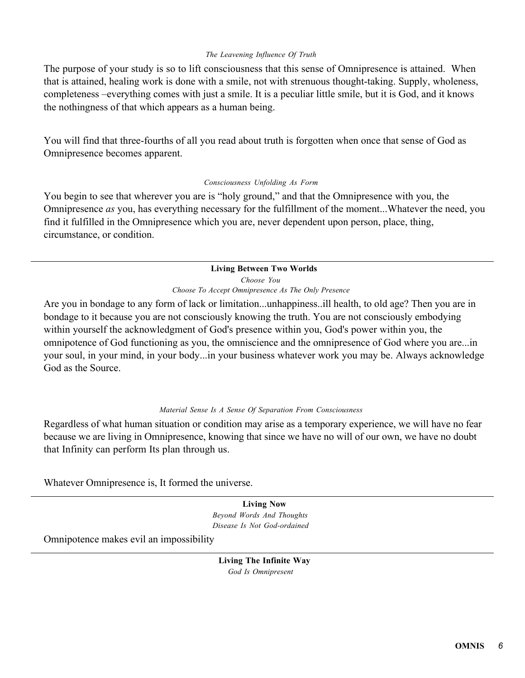#### *The Leavening Influence Of Truth*

The purpose of your study is so to lift consciousness that this sense of Omnipresence is attained. When that is attained, healing work is done with a smile, not with strenuous thought-taking. Supply, wholeness, completeness –everything comes with just a smile. It is a peculiar little smile, but it is God, and it knows the nothingness of that which appears as a human being.

You will find that three-fourths of all you read about truth is forgotten when once that sense of God as Omnipresence becomes apparent.

#### *Consciousness Unfolding As Form*

You begin to see that wherever you are is "holy ground," and that the Omnipresence with you, the Omnipresence *as* you, has everything necessary for the fulfillment of the moment...Whatever the need, you find it fulfilled in the Omnipresence which you are, never dependent upon person, place, thing, circumstance, or condition.

#### **Living Between Two Worlds**

*Choose You Choose To Accept Omnipresence As The Only Presence*

Are you in bondage to any form of lack or limitation...unhappiness..ill health, to old age? Then you are in bondage to it because you are not consciously knowing the truth. You are not consciously embodying within yourself the acknowledgment of God's presence within you, God's power within you, the omnipotence of God functioning as you, the omniscience and the omnipresence of God where you are...in your soul, in your mind, in your body...in your business whatever work you may be. Always acknowledge God as the Source.

#### *Material Sense Is A Sense Of Separation From Consciousness*

Regardless of what human situation or condition may arise as a temporary experience, we will have no fear because we are living in Omnipresence, knowing that since we have no will of our own, we have no doubt that Infinity can perform Its plan through us.

Whatever Omnipresence is, It formed the universe.

**Living Now** *Beyond Words And Thoughts Disease Is Not God-ordained*

Omnipotence makes evil an impossibility

**Living The Infinite Way** *God Is Omnipresent*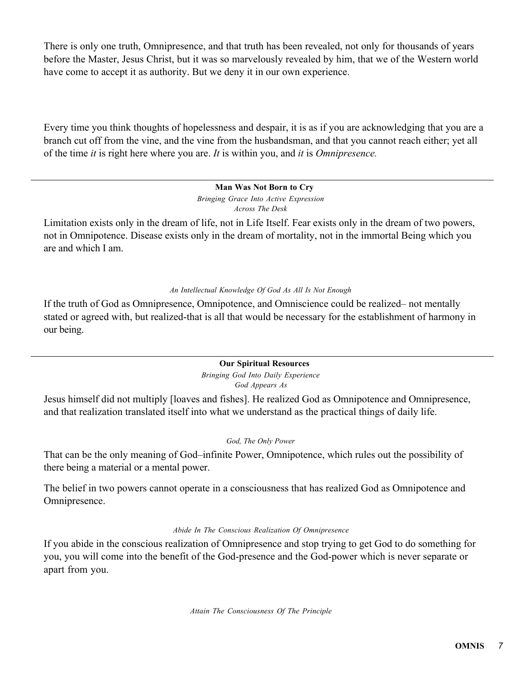There is only one truth, Omnipresence, and that truth has been revealed, not only for thousands of years before the Master, Jesus Christ, but it was so marvelously revealed by him, that we of the Western world have come to accept it as authority. But we deny it in our own experience.

Every time you think thoughts of hopelessness and despair, it is as if you are acknowledging that you are a branch cut off from the vine, and the vine from the husbandsman, and that you cannot reach either; yet all of the time *it* is right here where you are. *It* is within you, and *it* is *Omnipresence.*

### **Man Was Not Born to Cry**

*Bringing Grace Into Active Expression Across The Desk*

Limitation exists only in the dream of life, not in Life Itself. Fear exists only in the dream of two powers, not in Omnipotence. Disease exists only in the dream of mortality, not in the immortal Being which you are and which I am.

# *An Intellectual Knowledge Of God As All Is Not Enough*

If the truth of God as Omnipresence, Omnipotence, and Omniscience could be realized– not mentally stated or agreed with, but realized-that is all that would be necessary for the establishment of harmony in our being.

#### **Our Spiritual Resources**

*Bringing God Into Daily Experience God Appears As*

Jesus himself did not multiply [loaves and fishes]. He realized God as Omnipotence and Omnipresence, and that realization translated itself into what we understand as the practical things of daily life.

#### *God, The Only Power*

That can be the only meaning of God–infinite Power, Omnipotence, which rules out the possibility of there being a material or a mental power.

The belief in two powers cannot operate in a consciousness that has realized God as Omnipotence and Omnipresence.

#### *Abide In The Conscious Realization Of Omnipresence*

If you abide in the conscious realization of Omnipresence and stop trying to get God to do something for you, you will come into the benefit of the God-presence and the God-power which is never separate or apart from you.

*Attain The Consciousness Of The Principle*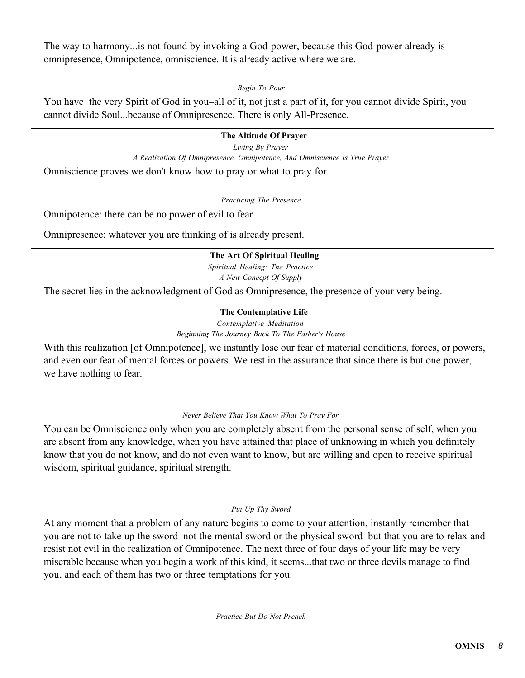The way to harmony...is not found by invoking a God-power, because this God-power already is omnipresence, Omnipotence, omniscience. It is already active where we are.

*Begin To Pour*

You have the very Spirit of God in you–all of it, not just a part of it, for you cannot divide Spirit, you cannot divide Soul...because of Omnipresence. There is only All-Presence.

### **The Altitude Of Prayer**

*Living By Prayer A Realization Of Omnipresence, Omnipotence, And Omniscience Is True Prayer*

Omniscience proves we don't know how to pray or what to pray for.

*Practicing The Presence*

Omnipotence: there can be no power of evil to fear.

Omnipresence: whatever you are thinking of is already present.

### **The Art Of Spiritual Healing**

*Spiritual Healing: The Practice A New Concept Of Supply*

The secret lies in the acknowledgment of God as Omnipresence, the presence of your very being.

# **The Contemplative Life**

*Contemplative Meditation Beginning The Journey Back To The Father's House*

With this realization [of Omnipotence], we instantly lose our fear of material conditions, forces, or powers, and even our fear of mental forces or powers. We rest in the assurance that since there is but one power, we have nothing to fear.

#### *Never Believe That You Know What To Pray For*

You can be Omniscience only when you are completely absent from the personal sense of self, when you are absent from any knowledge, when you have attained that place of unknowing in which you definitely know that you do not know, and do not even want to know, but are willing and open to receive spiritual wisdom, spiritual guidance, spiritual strength.

# *Put Up Thy Sword*

At any moment that a problem of any nature begins to come to your attention, instantly remember that you are not to take up the sword–not the mental sword or the physical sword–but that you are to relax and resist not evil in the realization of Omnipotence. The next three of four days of your life may be very miserable because when you begin a work of this kind, it seems...that two or three devils manage to find you, and each of them has two or three temptations for you.

*Practice But Do Not Preach*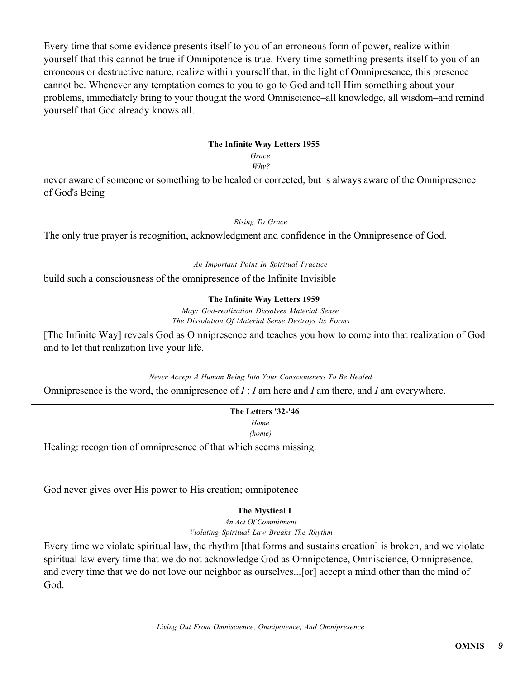Every time that some evidence presents itself to you of an erroneous form of power, realize within yourself that this cannot be true if Omnipotence is true. Every time something presents itself to you of an erroneous or destructive nature, realize within yourself that, in the light of Omnipresence, this presence cannot be. Whenever any temptation comes to you to go to God and tell Him something about your problems, immediately bring to your thought the word Omniscience–all knowledge, all wisdom–and remind yourself that God already knows all.

#### **The Infinite Way Letters 1955**

*Grace Why?*

never aware of someone or something to be healed or corrected, but is always aware of the Omnipresence of God's Being

#### *Rising To Grace*

The only true prayer is recognition, acknowledgment and confidence in the Omnipresence of God.

*An Important Point In Spiritual Practice*

build such a consciousness of the omnipresence of the Infinite Invisible

# **The Infinite Way Letters 1959**

*May: God-realization Dissolves Material Sense The Dissolution Of Material Sense Destroys Its Forms*

[The Infinite Way] reveals God as Omnipresence and teaches you how to come into that realization of God and to let that realization live your life.

*Never Accept A Human Being Into Your Consciousness To Be Healed*

Omnipresence is the word, the omnipresence of *I* : *I* am here and *I* am there, and *I* am everywhere.

# **The Letters '32-'46** *Home*

*(home)*

Healing: recognition of omnipresence of that which seems missing.

God never gives over His power to His creation; omnipotence

# **The Mystical I**

*An Act Of Commitment Violating Spiritual Law Breaks The Rhythm*

Every time we violate spiritual law, the rhythm [that forms and sustains creation] is broken, and we violate spiritual law every time that we do not acknowledge God as Omnipotence, Omniscience, Omnipresence, and every time that we do not love our neighbor as ourselves...[or] accept a mind other than the mind of God.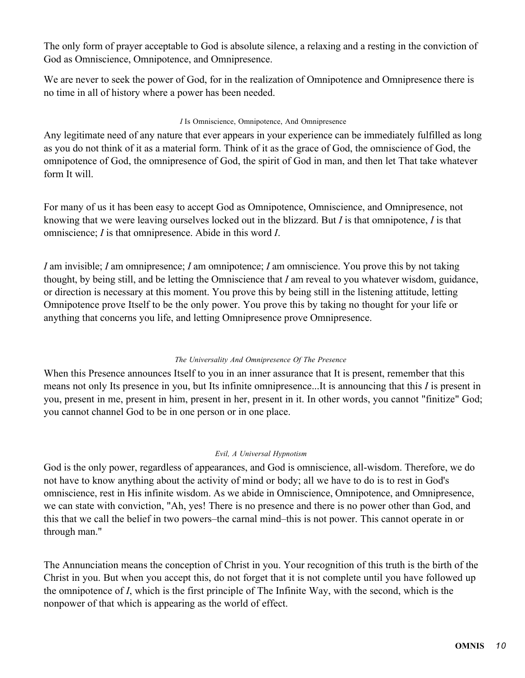The only form of prayer acceptable to God is absolute silence, a relaxing and a resting in the conviction of God as Omniscience, Omnipotence, and Omnipresence.

We are never to seek the power of God, for in the realization of Omnipotence and Omnipresence there is no time in all of history where a power has been needed.

### *I* Is Omniscience, Omnipotence, And Omnipresence

Any legitimate need of any nature that ever appears in your experience can be immediately fulfilled as long as you do not think of it as a material form. Think of it as the grace of God, the omniscience of God, the omnipotence of God, the omnipresence of God, the spirit of God in man, and then let That take whatever form It will.

For many of us it has been easy to accept God as Omnipotence, Omniscience, and Omnipresence, not knowing that we were leaving ourselves locked out in the blizzard. But *I* is that omnipotence, *I* is that omniscience; *I* is that omnipresence. Abide in this word *I*.

*I* am invisible; *I* am omnipresence; *I* am omnipotence; *I* am omniscience. You prove this by not taking thought, by being still, and be letting the Omniscience that *I* am reveal to you whatever wisdom, guidance, or direction is necessary at this moment. You prove this by being still in the listening attitude, letting Omnipotence prove Itself to be the only power. You prove this by taking no thought for your life or anything that concerns you life, and letting Omnipresence prove Omnipresence.

# *The Universality And Omnipresence Of The Presence*

When this Presence announces Itself to you in an inner assurance that It is present, remember that this means not only Its presence in you, but Its infinite omnipresence...It is announcing that this *I* is present in you, present in me, present in him, present in her, present in it. In other words, you cannot "finitize" God; you cannot channel God to be in one person or in one place.

#### *Evil, A Universal Hypnotism*

God is the only power, regardless of appearances, and God is omniscience, all-wisdom. Therefore, we do not have to know anything about the activity of mind or body; all we have to do is to rest in God's omniscience, rest in His infinite wisdom. As we abide in Omniscience, Omnipotence, and Omnipresence, we can state with conviction, "Ah, yes! There is no presence and there is no power other than God, and this that we call the belief in two powers–the carnal mind–this is not power. This cannot operate in or through man."

The Annunciation means the conception of Christ in you. Your recognition of this truth is the birth of the Christ in you. But when you accept this, do not forget that it is not complete until you have followed up the omnipotence of *I*, which is the first principle of The Infinite Way, with the second, which is the nonpower of that which is appearing as the world of effect.